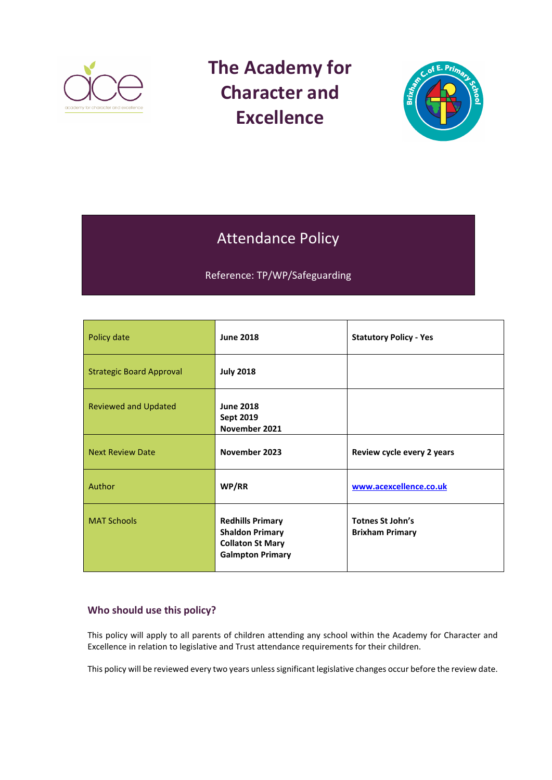

# **The Academy for Character and Excellence**



## Attendance Policy

Reference: TP/WP/Safeguarding

| Policy date                     | <b>June 2018</b>                                                                                        | <b>Statutory Policy - Yes</b>                     |
|---------------------------------|---------------------------------------------------------------------------------------------------------|---------------------------------------------------|
| <b>Strategic Board Approval</b> | <b>July 2018</b>                                                                                        |                                                   |
| <b>Reviewed and Updated</b>     | <b>June 2018</b><br><b>Sept 2019</b><br>November 2021                                                   |                                                   |
| <b>Next Review Date</b>         | November 2023                                                                                           | Review cycle every 2 years                        |
| Author                          | WP/RR                                                                                                   | www.acexcellence.co.uk                            |
| <b>MAT Schools</b>              | <b>Redhills Primary</b><br><b>Shaldon Primary</b><br><b>Collaton St Mary</b><br><b>Galmpton Primary</b> | <b>Totnes St John's</b><br><b>Brixham Primary</b> |

## **Who should use this policy?**

This policy will apply to all parents of children attending any school within the Academy for Character and Excellence in relation to legislative and Trust attendance requirements for their children.

This policy will be reviewed every two years unless significant legislative changes occur before the review date.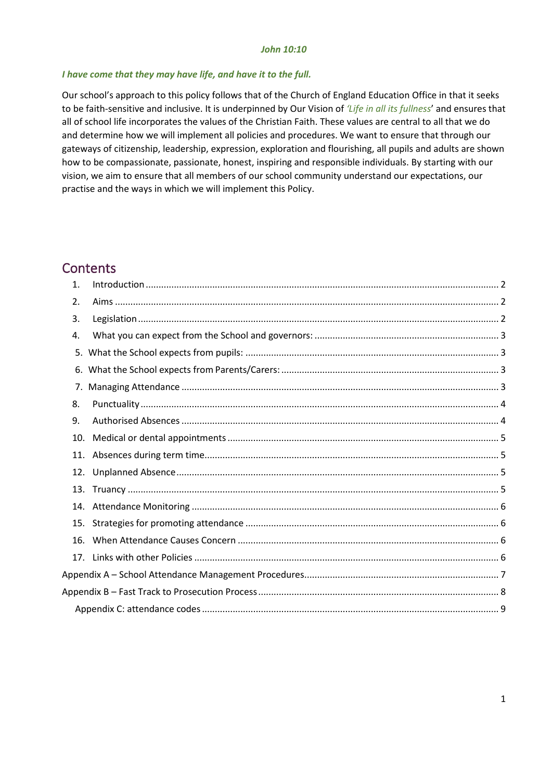#### *John 10:10*

#### *I have come that they may have life, and have it to the full.*

Our school's approach to this policy follows that of the Church of England Education Office in that it seeks to be faith-sensitive and inclusive. It is underpinned by Our Vision of *'Life in all its fullness*' and ensures that all of school life incorporates the values of the Christian Faith. These values are central to all that we do and determine how we will implement all policies and procedures. We want to ensure that through our gateways of citizenship, leadership, expression, exploration and flourishing, all pupils and adults are shown how to be compassionate, passionate, honest, inspiring and responsible individuals. By starting with our vision, we aim to ensure that all members of our school community understand our expectations, our practise and the ways in which we will implement this Policy.

## **Contents**

| 1.  |  |
|-----|--|
| 2.  |  |
| 3.  |  |
| 4.  |  |
|     |  |
|     |  |
|     |  |
| 8.  |  |
| 9.  |  |
| 10. |  |
|     |  |
| 12. |  |
| 13. |  |
|     |  |
| 15. |  |
|     |  |
|     |  |
|     |  |
|     |  |
|     |  |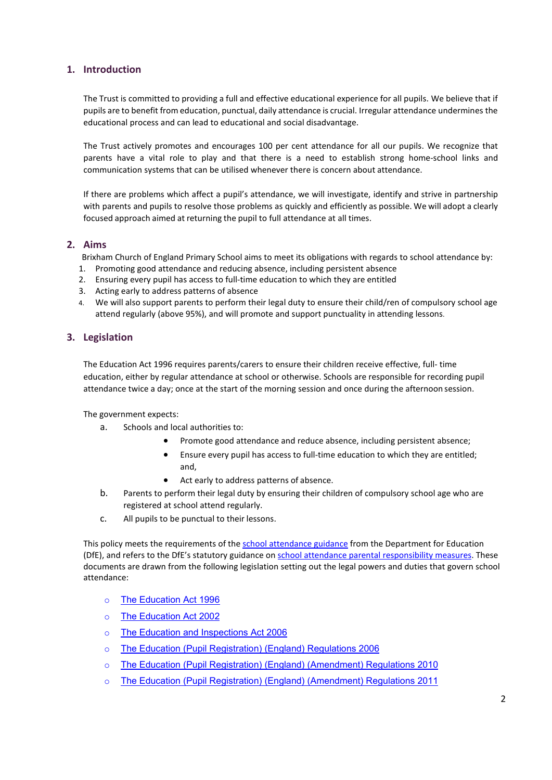#### <span id="page-2-0"></span>**1. Introduction**

The Trust is committed to providing a full and effective educational experience for all pupils. We believe that if pupils are to benefit from education, punctual, daily attendance is crucial. Irregular attendance undermines the educational process and can lead to educational and social disadvantage.

The Trust actively promotes and encourages 100 per cent attendance for all our pupils. We recognize that parents have a vital role to play and that there is a need to establish strong home-school links and communication systems that can be utilised whenever there is concern about attendance.

If there are problems which affect a pupil's attendance, we will investigate, identify and strive in partnership with parents and pupils to resolve those problems as quickly and efficiently as possible. We will adopt a clearly focused approach aimed at returning the pupil to full attendance at all times.

#### <span id="page-2-1"></span>**2. Aims**

Brixham Church of England Primary School aims to meet its obligations with regards to school attendance by:

- 1. Promoting good attendance and reducing absence, including persistent absence
- 2. Ensuring every pupil has access to full-time education to which they are entitled
- 3. Acting early to address patterns of absence
- 4. We will also support parents to perform their legal duty to ensure their child/ren of compulsory school age attend regularly (above 95%), and will promote and support punctuality in attending lessons.

#### <span id="page-2-2"></span>**3. Legislation**

The Education Act 1996 requires parents/carers to ensure their children receive effective, full- time education, either by regular attendance at school or otherwise. Schools are responsible for recording pupil attendance twice a day; once at the start of the morning session and once during the afternoon session.

The government expects:

- a. Schools and local authorities to:
	- Promote good attendance and reduce absence, including persistent absence;
	- Ensure every pupil has access to full-time education to which they are entitled; and,
	- Act early to address patterns of absence.
- b. Parents to perform their legal duty by ensuring their children of compulsory school age who are registered at school attend regularly.
- c. All pupils to be punctual to their lessons.

This policy meets the requirements of the [school attendance guidance](https://www.gov.uk/government/publications/school-attendance) from the Department for Education (DfE), and refers to the DfE's statutory guidance o[n school attendance parental responsibility measures.](https://www.gov.uk/government/publications/parental-responsibility-measures-for-behaviour-and-attendance) These documents are drawn from the following legislation setting out the legal powers and duties that govern school attendance:

- o [The Education Act 1996](https://www.legislation.gov.uk/ukpga/1996/56/contents)
- o [The Education Act 2002](https://www.legislation.gov.uk/ukpga/2002/32/contents)
- o [The Education and Inspections Act 2006](https://www.legislation.gov.uk/ukpga/2006/40/contents)
- o [The Education \(Pupil Registration\) \(England\) Regulations 2006](http://www.legislation.gov.uk/uksi/2006/1751/contents/made)
- o [The Education \(Pupil Registration\) \(England\) \(Amendment\) Regulations 2010](http://www.legislation.gov.uk/uksi/2010/1725/contents/made)
- o [The Education \(Pupil Registration\) \(England\) \(Amendment\) Regulations 2011](http://www.legislation.gov.uk/uksi/2011/1625/contents/made)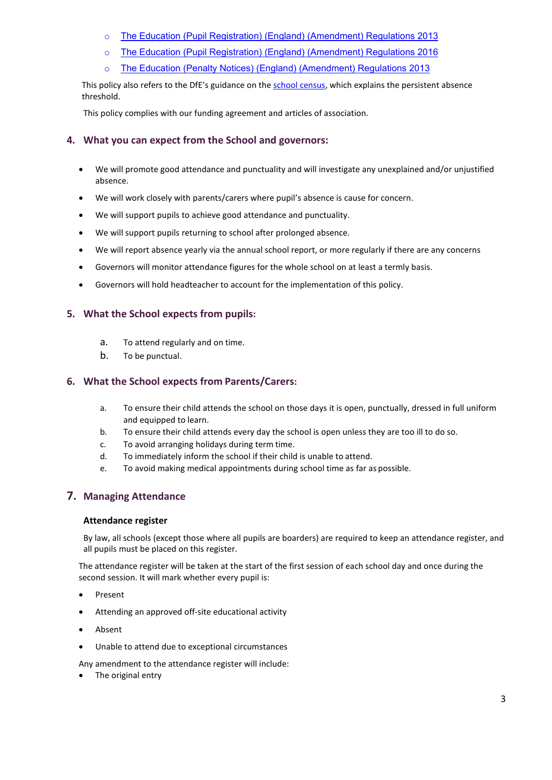- o [The Education \(Pupil Registration\) \(England\) \(Amendment\) Regulations 2013](http://www.legislation.gov.uk/uksi/2013/756/contents/made)
- o [The Education \(Pupil Registration\) \(England\) \(Amendment\) Regulations 2016](http://www.legislation.gov.uk/uksi/2016/792/contents/made)
- o [The Education \(Penalty Notices\) \(England\) \(Amendment\) Regulations 2013](http://www.legislation.gov.uk/uksi/2013/757/contents/made)

This policy also refers to the DfE's guidance on the [school census,](https://www.gov.uk/government/publications/school-census-2017-to-2018-guide-for-schools-and-las) which explains the persistent absence threshold.

This policy complies with our funding agreement and articles of association.

#### <span id="page-3-0"></span>**4. What you can expect from the School and governors:**

- We will promote good attendance and punctuality and will investigate any unexplained and/or unjustified absence.
- We will work closely with parents/carers where pupil's absence is cause for concern.
- We will support pupils to achieve good attendance and punctuality.
- We will support pupils returning to school after prolonged absence.
- We will report absence yearly via the annual school report, or more regularly if there are any concerns
- Governors will monitor attendance figures for the whole school on at least a termly basis.
- Governors will hold headteacher to account for the implementation of this policy.

#### <span id="page-3-1"></span>**5. What the School expects from pupils:**

- a. To attend regularly and on time.
- b. To be punctual.

#### <span id="page-3-2"></span>**6. What the School expects from Parents/Carers:**

- a. To ensure their child attends the school on those days it is open, punctually, dressed in full uniform and equipped to learn.
- b. To ensure their child attends every day the school is open unless they are too ill to do so.
- c. To avoid arranging holidays during term time.
- d. To immediately inform the school if their child is unable to attend.
- e. To avoid making medical appointments during school time as far as possible.

#### <span id="page-3-3"></span>**7. Managing Attendance**

#### **Attendance register**

By law, all schools (except those where all pupils are boarders) are required to keep an attendance register, and all pupils must be placed on this register.

The attendance register will be taken at the start of the first session of each school day and once during the second session. It will mark whether every pupil is:

- Present
- Attending an approved off-site educational activity
- Absent
- Unable to attend due to exceptional circumstances

Any amendment to the attendance register will include:

• The original entry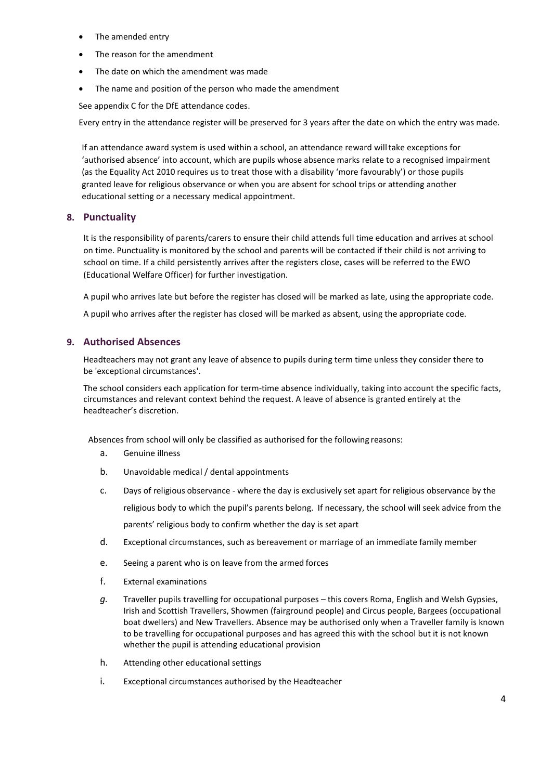- The amended entry
- The reason for the amendment
- The date on which the amendment was made
- The name and position of the person who made the amendment

See appendix C for the DfE attendance codes.

Every entry in the attendance register will be preserved for 3 years after the date on which the entry was made.

If an attendance award system is used within a school, an attendance reward willtake exceptions for 'authorised absence' into account, which are pupils whose absence marks relate to a recognised impairment (as the Equality Act 2010 requires us to treat those with a disability 'more favourably') or those pupils granted leave for religious observance or when you are absent for school trips or attending another educational setting or a necessary medical appointment.

#### <span id="page-4-0"></span>**8. Punctuality**

It is the responsibility of parents/carers to ensure their child attends full time education and arrives at school on time. Punctuality is monitored by the school and parents will be contacted if their child is not arriving to school on time. If a child persistently arrives after the registers close, cases will be referred to the EWO (Educational Welfare Officer) for further investigation.

A pupil who arrives late but before the register has closed will be marked as late, using the appropriate code.

A pupil who arrives after the register has closed will be marked as absent, using the appropriate code.

#### <span id="page-4-1"></span>**9. Authorised Absences**

Headteachers may not grant any leave of absence to pupils during term time unless they consider there to be 'exceptional circumstances'.

The school considers each application for term-time absence individually, taking into account the specific facts, circumstances and relevant context behind the request. A leave of absence is granted entirely at the headteacher's discretion.

Absences from school will only be classified as authorised for the following reasons:

- a. Genuine illness
- b. Unavoidable medical / dental appointments
- c. Days of religious observance where the day is exclusively set apart for religious observance by the religious body to which the pupil's parents belong. If necessary, the school will seek advice from the parents' religious body to confirm whether the day is set apart
- d. Exceptional circumstances, such as bereavement or marriage of an immediate family member
- e. Seeing a parent who is on leave from the armed forces
- f. External examinations
- *g.* Traveller pupils travelling for occupational purposes this covers Roma, English and Welsh Gypsies, Irish and Scottish Travellers, Showmen (fairground people) and Circus people, Bargees (occupational boat dwellers) and New Travellers. Absence may be authorised only when a Traveller family is known to be travelling for occupational purposes and has agreed this with the school but it is not known whether the pupil is attending educational provision
- h. Attending other educational settings
- i. Exceptional circumstances authorised by the Headteacher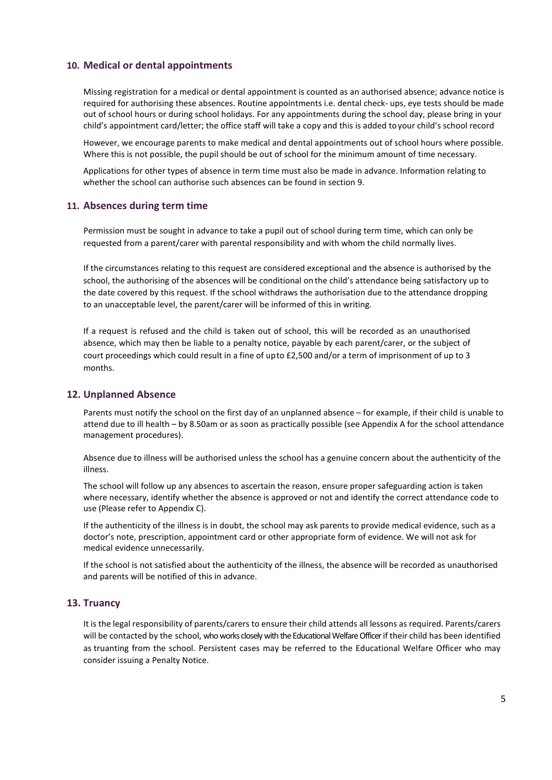#### <span id="page-5-0"></span>**10. Medical or dental appointments**

Missing registration for a medical or dental appointment is counted as an authorised absence; advance notice is required for authorising these absences. Routine appointments i.e. dental check- ups, eye tests should be made out of school hours or during school holidays. For any appointments during the school day, please bring in your child's appointment card/letter; the office staff will take a copy and this is added toyour child's school record

However, we encourage parents to make medical and dental appointments out of school hours where possible. Where this is not possible, the pupil should be out of school for the minimum amount of time necessary.

Applications for other types of absence in term time must also be made in advance. Information relating to whether the school can authorise such absences can be found in section 9.

#### <span id="page-5-1"></span>**11. Absences during term time**

Permission must be sought in advance to take a pupil out of school during term time, which can only be requested from a parent/carer with parental responsibility and with whom the child normally lives.

If the circumstances relating to this request are considered exceptional and the absence is authorised by the school, the authorising of the absences will be conditional on the child's attendance being satisfactory up to the date covered by this request. If the school withdraws the authorisation due to the attendance dropping to an unacceptable level, the parent/carer will be informed of this in writing.

If a request is refused and the child is taken out of school, this will be recorded as an unauthorised absence, which may then be liable to a penalty notice, payable by each parent/carer, or the subject of court proceedings which could result in a fine of upto £2,500 and/or a term of imprisonment of up to 3 months.

#### <span id="page-5-2"></span>**12. Unplanned Absence**

Parents must notify the school on the first day of an unplanned absence – for example, if their child is unable to attend due to ill health – by 8.50am or as soon as practically possible (see Appendix A for the school attendance management procedures).

Absence due to illness will be authorised unless the school has a genuine concern about the authenticity of the illness.

The school will follow up any absences to ascertain the reason, ensure proper safeguarding action is taken where necessary, identify whether the absence is approved or not and identify the correct attendance code to use (Please refer to Appendix C).

If the authenticity of the illness is in doubt, the school may ask parents to provide medical evidence, such as a doctor's note, prescription, appointment card or other appropriate form of evidence. We will not ask for medical evidence unnecessarily.

If the school is not satisfied about the authenticity of the illness, the absence will be recorded as unauthorised and parents will be notified of this in advance.

#### <span id="page-5-3"></span>**13. Truancy**

It is the legal responsibility of parents/carers to ensure their child attends all lessons as required. Parents/carers will be contacted by the school, who works closely with the Educational Welfare Officer if their child has been identified as truanting from the school. Persistent cases may be referred to the Educational Welfare Officer who may consider issuing a Penalty Notice.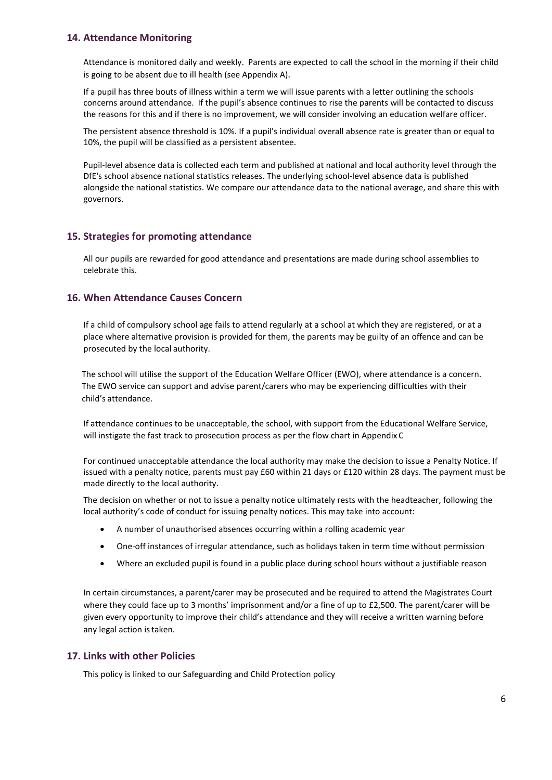#### <span id="page-6-0"></span>**14. Attendance Monitoring**

Attendance is monitored daily and weekly. Parents are expected to call the school in the morning if their child is going to be absent due to ill health (see Appendix A).

If a pupil has three bouts of illness within a term we will issue parents with a letter outlining the schools concerns around attendance. If the pupil's absence continues to rise the parents will be contacted to discuss the reasons for this and if there is no improvement, we will consider involving an education welfare officer.

The persistent absence threshold is 10%. If a pupil's individual overall absence rate is greater than or equal to 10%, the pupil will be classified as a persistent absentee.

Pupil-level absence data is collected each term and published at national and local authority level through the DfE's school absence national statistics releases. The underlying school-level absence data is published alongside the national statistics. We compare our attendance data to the national average, and share this with governors.

#### <span id="page-6-1"></span>**15. Strategies for promoting attendance**

All our pupils are rewarded for good attendance and presentations are made during school assemblies to celebrate this.

#### <span id="page-6-2"></span>**16. When Attendance Causes Concern**

If a child of compulsory school age fails to attend regularly at a school at which they are registered, or at a place where alternative provision is provided for them, the parents may be guilty of an offence and can be prosecuted by the local authority.

The school will utilise the support of the Education Welfare Officer (EWO), where attendance is a concern. The EWO service can support and advise parent/carers who may be experiencing difficulties with their child's attendance.

If attendance continues to be unacceptable, the school, with support from the Educational Welfare Service, will instigate the fast track to prosecution process as per the flow chart in Appendix C

For continued unacceptable attendance the local authority may make the decision to issue a Penalty Notice. If issued with a penalty notice, parents must pay £60 within 21 days or £120 within 28 days. The payment must be made directly to the local authority.

The decision on whether or not to issue a penalty notice ultimately rests with the headteacher, following the local authority's code of conduct for issuing penalty notices. This may take into account:

- A number of unauthorised absences occurring within a rolling academic year
- One-off instances of irregular attendance, such as holidays taken in term time without permission
- Where an excluded pupil is found in a public place during school hours without a justifiable reason

In certain circumstances, a parent/carer may be prosecuted and be required to attend the Magistrates Court where they could face up to 3 months' imprisonment and/or a fine of up to £2,500. The parent/carer will be given every opportunity to improve their child's attendance and they will receive a written warning before any legal action istaken.

#### <span id="page-6-3"></span>**17. Links with other Policies**

This policy is linked to our Safeguarding and Child Protection policy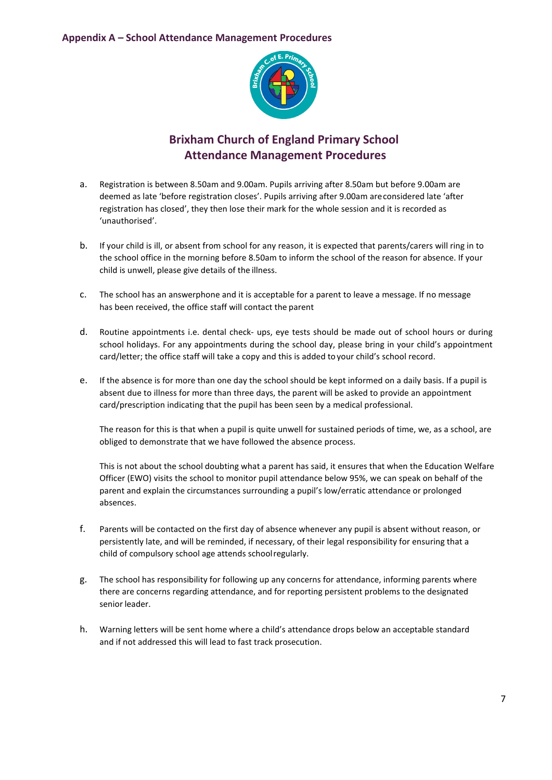#### <span id="page-7-0"></span>**Appendix A – School Attendance Management Procedures**



## **Brixham Church of England Primary School Attendance Management Procedures**

- a. Registration is between 8.50am and 9.00am. Pupils arriving after 8.50am but before 9.00am are deemed as late 'before registration closes'. Pupils arriving after 9.00am areconsidered late 'after registration has closed', they then lose their mark for the whole session and it is recorded as 'unauthorised'.
- b. If your child is ill, or absent from school for any reason, it is expected that parents/carers will ring in to the school office in the morning before 8.50am to inform the school of the reason for absence. If your child is unwell, please give details of the illness.
- c. The school has an answerphone and it is acceptable for a parent to leave a message. If no message has been received, the office staff will contact the parent
- d. Routine appointments i.e. dental check- ups, eye tests should be made out of school hours or during school holidays. For any appointments during the school day, please bring in your child's appointment card/letter; the office staff will take a copy and this is added toyour child's school record.
- e. If the absence is for more than one day the school should be kept informed on a daily basis. If a pupil is absent due to illness for more than three days, the parent will be asked to provide an appointment card/prescription indicating that the pupil has been seen by a medical professional.

The reason for this is that when a pupil is quite unwell for sustained periods of time, we, as a school, are obliged to demonstrate that we have followed the absence process.

This is not about the school doubting what a parent has said, it ensures that when the Education Welfare Officer (EWO) visits the school to monitor pupil attendance below 95%, we can speak on behalf of the parent and explain the circumstances surrounding a pupil's low/erratic attendance or prolonged absences.

- f. Parents will be contacted on the first day of absence whenever any pupil is absent without reason, or persistently late, and will be reminded, if necessary, of their legal responsibility for ensuring that a child of compulsory school age attends schoolregularly.
- g. The school has responsibility for following up any concerns for attendance, informing parents where there are concerns regarding attendance, and for reporting persistent problems to the designated senior leader.
- h. Warning letters will be sent home where a child's attendance drops below an acceptable standard and if not addressed this will lead to fast track prosecution.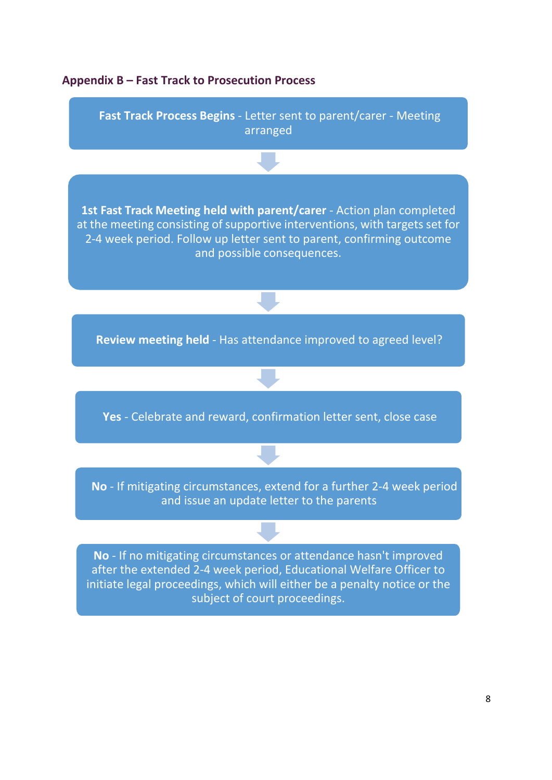<span id="page-8-0"></span>

## 8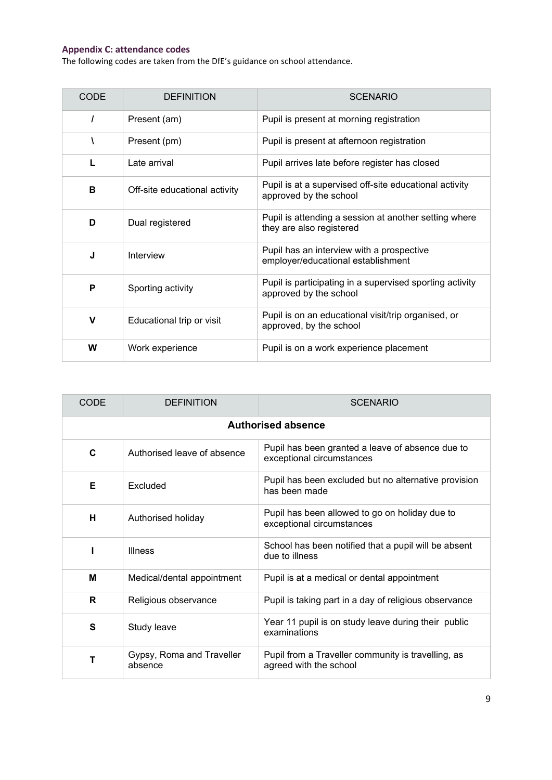## <span id="page-9-0"></span>**Appendix C: attendance codes**

The following codes are taken from the DfE's guidance on school attendance.

| <b>CODE</b> | <b>DEFINITION</b>             | <b>SCENARIO</b>                                                                    |
|-------------|-------------------------------|------------------------------------------------------------------------------------|
| $\prime$    | Present (am)                  | Pupil is present at morning registration                                           |
|             | Present (pm)                  | Pupil is present at afternoon registration                                         |
| L           | Late arrival                  | Pupil arrives late before register has closed                                      |
| в           | Off-site educational activity | Pupil is at a supervised off-site educational activity<br>approved by the school   |
| D           | Dual registered               | Pupil is attending a session at another setting where<br>they are also registered  |
| J           | Interview                     | Pupil has an interview with a prospective<br>employer/educational establishment    |
| P           | Sporting activity             | Pupil is participating in a supervised sporting activity<br>approved by the school |
| $\mathbf v$ | Educational trip or visit     | Pupil is on an educational visit/trip organised, or<br>approved, by the school     |
| W           | Work experience               | Pupil is on a work experience placement                                            |

| <b>CODE</b>  | <b>DEFINITION</b>                    | <b>SCENARIO</b>                                                               |  |
|--------------|--------------------------------------|-------------------------------------------------------------------------------|--|
|              | <b>Authorised absence</b>            |                                                                               |  |
| $\mathbf c$  | Authorised leave of absence          | Pupil has been granted a leave of absence due to<br>exceptional circumstances |  |
| Е            | Excluded                             | Pupil has been excluded but no alternative provision<br>has been made         |  |
| H            | Authorised holiday                   | Pupil has been allowed to go on holiday due to<br>exceptional circumstances   |  |
|              | <b>Illness</b>                       | School has been notified that a pupil will be absent<br>due to illness        |  |
| M            | Medical/dental appointment           | Pupil is at a medical or dental appointment                                   |  |
| R            | Religious observance                 | Pupil is taking part in a day of religious observance                         |  |
| $\mathbf{s}$ | Study leave                          | Year 11 pupil is on study leave during their public<br>examinations           |  |
|              | Gypsy, Roma and Traveller<br>absence | Pupil from a Traveller community is travelling, as<br>agreed with the school  |  |